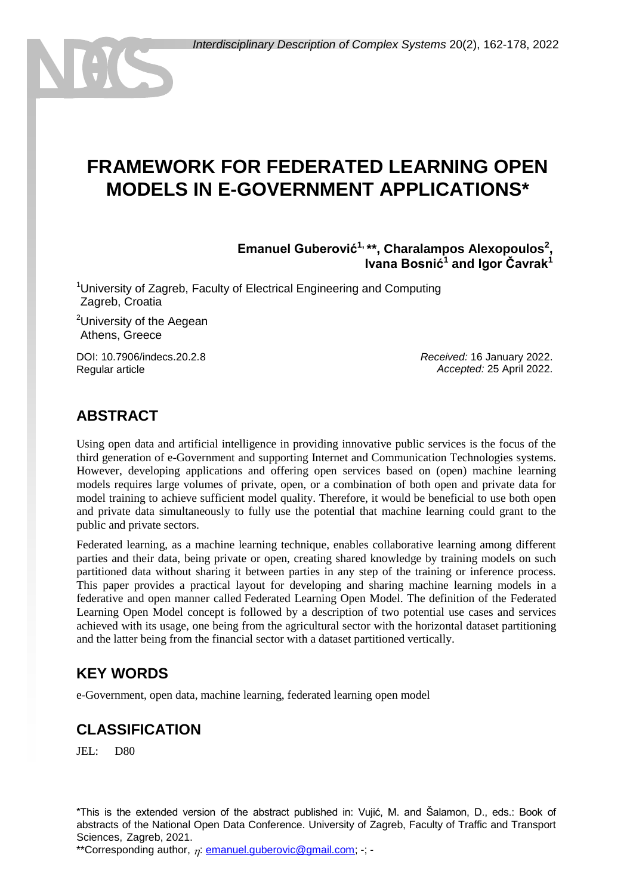# **FRAMEWORK FOR FEDERATED LEARNING OPEN MODELS IN E-GOVERNMENT APPLICATIONS\***

**Emanuel Guberović1, \*\*, Charalampos Alexopoulos<sup>2</sup> , Ivana Bosnić<sup>1</sup> and Igor Čavrak<sup>1</sup>**

<sup>1</sup>University of Zagreb, Faculty of Electrical Engineering and Computing Zagreb, Croatia

<sup>2</sup>University of the Aegean Athens, Greece

DOI: 10.7906/indecs.20.2.8 Regular article

*Received:* 16 January 2022. *Accepted:* 25 April 2022.

### **ABSTRACT**

Using open data and artificial intelligence in providing innovative public services is the focus of the third generation of e-Government and supporting Internet and Communication Technologies systems. However, developing applications and offering open services based on (open) machine learning models requires large volumes of private, open, or a combination of both open and private data for model training to achieve sufficient model quality. Therefore, it would be beneficial to use both open and private data simultaneously to fully use the potential that machine learning could grant to the public and private sectors.

Federated learning, as a machine learning technique, enables collaborative learning among different parties and their data, being private or open, creating shared knowledge by training models on such partitioned data without sharing it between parties in any step of the training or inference process. This paper provides a practical layout for developing and sharing machine learning models in a federative and open manner called Federated Learning Open Model. The definition of the Federated Learning Open Model concept is followed by a description of two potential use cases and services achieved with its usage, one being from the agricultural sector with the horizontal dataset partitioning and the latter being from the financial sector with a dataset partitioned vertically.

### **KEY WORDS**

e-Government, open data, machine learning, federated learning open model

## **CLASSIFICATION**

JEL: D80

\*This is the extended version of the abstract published in: Vujić, M. and Šalamon, D., eds.: Book of abstracts of the National Open Data Conference. University of Zagreb, Faculty of Traffic and Transport Sciences, Zagreb, 2021.

\*\*Corresponding author,  $\eta$ : [emanuel.guberovic@gmail.com;](mailto:emanuel.guberovic@gmail.com) -; -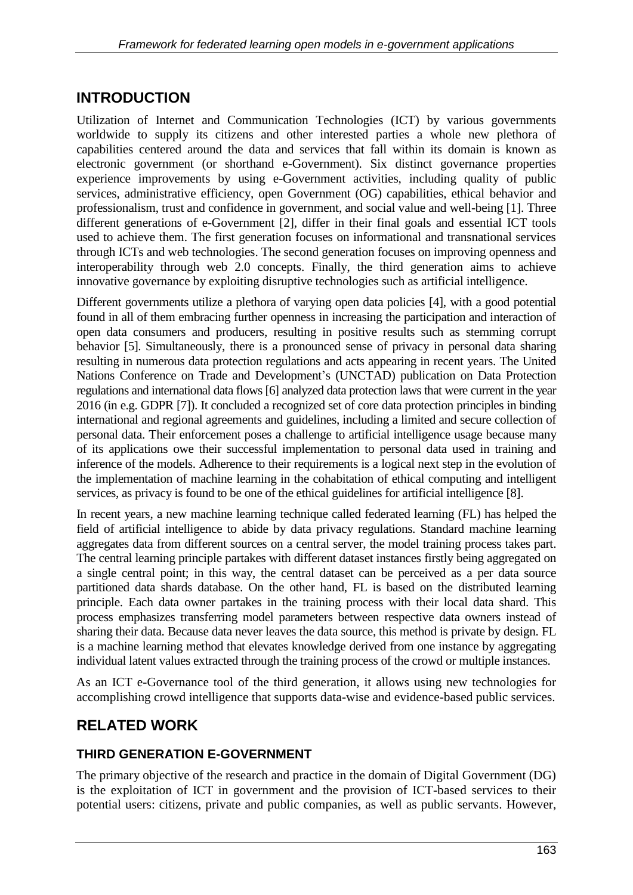## **INTRODUCTION**

Utilization of Internet and Communication Technologies (ICT) by various governments worldwide to supply its citizens and other interested parties a whole new plethora of capabilities centered around the data and services that fall within its domain is known as electronic government (or shorthand e-Government). Six distinct governance properties experience improvements by using e-Government activities, including quality of public services, administrative efficiency, open Government (OG) capabilities, ethical behavior and professionalism, trust and confidence in government, and social value and well-being [1]. Three different generations of e-Government [2], differ in their final goals and essential ICT tools used to achieve them. The first generation focuses on informational and transnational services through ICTs and web technologies. The second generation focuses on improving openness and interoperability through web 2.0 concepts. Finally, the third generation aims to achieve innovative governance by exploiting disruptive technologies such as artificial intelligence.

Different governments utilize a plethora of varying open data policies [4], with a good potential found in all of them embracing further openness in increasing the participation and interaction of open data consumers and producers, resulting in positive results such as stemming corrupt behavior [5]. Simultaneously, there is a pronounced sense of privacy in personal data sharing resulting in numerous data protection regulations and acts appearing in recent years. The United Nations Conference on Trade and Development's (UNCTAD) publication on Data Protection regulations and international data flows [6] analyzed data protection laws that were current in the year 2016 (in e.g. GDPR [7]). It concluded a recognized set of core data protection principles in binding international and regional agreements and guidelines, including a limited and secure collection of personal data. Their enforcement poses a challenge to artificial intelligence usage because many of its applications owe their successful implementation to personal data used in training and inference of the models. Adherence to their requirements is a logical next step in the evolution of the implementation of machine learning in the cohabitation of ethical computing and intelligent services, as privacy is found to be one of the ethical guidelines for artificial intelligence [8].

In recent years, a new machine learning technique called federated learning (FL) has helped the field of artificial intelligence to abide by data privacy regulations. Standard machine learning aggregates data from different sources on a central server, the model training process takes part. The central learning principle partakes with different dataset instances firstly being aggregated on a single central point; in this way, the central dataset can be perceived as a per data source partitioned data shards database. On the other hand, FL is based on the distributed learning principle. Each data owner partakes in the training process with their local data shard. This process emphasizes transferring model parameters between respective data owners instead of sharing their data. Because data never leaves the data source, this method is private by design. FL is a machine learning method that elevates knowledge derived from one instance by aggregating individual latent values extracted through the training process of the crowd or multiple instances.

As an ICT e-Governance tool of the third generation, it allows using new technologies for accomplishing crowd intelligence that supports data-wise and evidence-based public services.

## **RELATED WORK**

#### **THIRD GENERATION E-GOVERNMENT**

The primary objective of the research and practice in the domain of Digital Government (DG) is the exploitation of ICT in government and the provision of ICT-based services to their potential users: citizens, private and public companies, as well as public servants. However,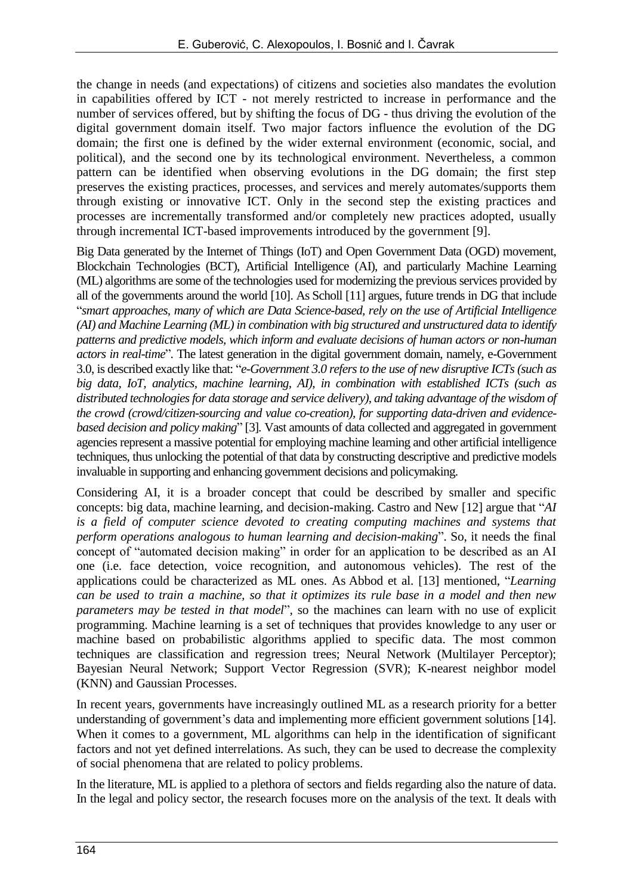the change in needs (and expectations) of citizens and societies also mandates the evolution in capabilities offered by ICT - not merely restricted to increase in performance and the number of services offered, but by shifting the focus of DG - thus driving the evolution of the digital government domain itself. Two major factors influence the evolution of the DG domain; the first one is defined by the wider external environment (economic, social, and political), and the second one by its technological environment. Nevertheless, a common pattern can be identified when observing evolutions in the DG domain; the first step preserves the existing practices, processes, and services and merely automates/supports them through existing or innovative ICT. Only in the second step the existing practices and processes are incrementally transformed and/or completely new practices adopted, usually through incremental ICT-based improvements introduced by the government [9].

Big Data generated by the Internet of Things (IoT) and Open Government Data (OGD) movement, Blockchain Technologies (BCT), Artificial Intelligence (AI), and particularly Machine Learning (ML) algorithms are some of the technologies used for modernizing the previous services provided by all of the governments around the world [10]. As Scholl [11] argues, future trends in DG that include "*smart approaches, many of which are Data Science-based, rely on the use of Artificial Intelligence (AI) and Machine Learning (ML) in combination with big structured and unstructured data to identify patterns and predictive models, which inform and evaluate decisions of human actors or non-human actors in real-time*". The latest generation in the digital government domain, namely, e-Government 3.0, is described exactly like that: "*e-Government 3.0 refers to the use of new disruptive ICTs (such as big data, IoT, analytics, machine learning, AI), in combination with established ICTs (such as distributed technologies for data storage and service delivery), and taking advantage of the wisdom of the crowd (crowd/citizen-sourcing and value co-creation), for supporting data-driven and evidencebased decision and policy making*" [3]*.* Vast amounts of data collected and aggregated in government agencies represent a massive potential for employing machine learning and other artificial intelligence techniques, thus unlocking the potential of that data by constructing descriptive and predictive models invaluable in supporting and enhancing government decisions and policymaking.

Considering AI, it is a broader concept that could be described by smaller and specific concepts: big data, machine learning, and decision-making. Castro and New [12] argue that "*AI is a field of computer science devoted to creating computing machines and systems that perform operations analogous to human learning and decision-making*". So, it needs the final concept of "automated decision making" in order for an application to be described as an AI one (i.e. face detection, voice recognition, and autonomous vehicles). The rest of the applications could be characterized as ML ones. As Abbod et al. [13] mentioned, "*Learning can be used to train a machine, so that it optimizes its rule base in a model and then new parameters may be tested in that model*"*,* so the machines can learn with no use of explicit programming. Machine learning is a set of techniques that provides knowledge to any user or machine based on probabilistic algorithms applied to specific data. The most common techniques are classification and regression trees; Neural Network (Multilayer Perceptor); Bayesian Neural Network; Support Vector Regression (SVR); K-nearest neighbor model (KNN) and Gaussian Processes.

In recent years, governments have increasingly outlined ML as a research priority for a better understanding of government's data and implementing more efficient government solutions [14]. When it comes to a government, ML algorithms can help in the identification of significant factors and not yet defined interrelations. As such, they can be used to decrease the complexity of social phenomena that are related to policy problems.

In the literature, ML is applied to a plethora of sectors and fields regarding also the nature of data. In the legal and policy sector, the research focuses more on the analysis of the text. It deals with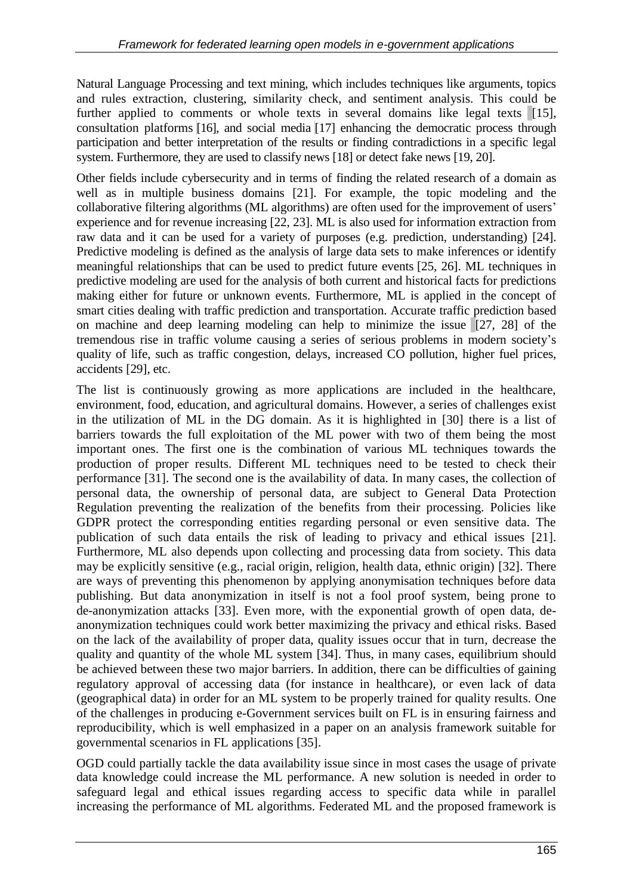Natural Language Processing and text mining, which includes techniques like arguments, topics and rules extraction, clustering, similarity check, and sentiment analysis. This could be further applied to comments or whole texts in several domains like legal texts [15], consultation platforms [16], and social media [17] enhancing the democratic process through participation and better interpretation of the results or finding contradictions in a specific legal system. Furthermore, they are used to classify news [18] or detect fake news [19, 20].

Other fields include cybersecurity and in terms of finding the related research of a domain as well as in multiple business domains [21]. For example, the topic modeling and the collaborative filtering algorithms (ML algorithms) are often used for the improvement of users' experience and for revenue increasing [22, 23]. ML is also used for information extraction from raw data and it can be used for a variety of purposes (e.g. prediction, understanding) [24]. Predictive modeling is defined as the analysis of large data sets to make inferences or identify meaningful relationships that can be used to predict future events [25, 26]. ML techniques in predictive modeling are used for the analysis of both current and historical facts for predictions making either for future or unknown events. Furthermore, ML is applied in the concept of smart cities dealing with traffic prediction and transportation. Accurate traffic prediction based on machine and deep learning modeling can help to minimize the issue [27, 28] of the tremendous rise in traffic volume causing a series of serious problems in modern society's quality of life, such as traffic congestion, delays, increased CO pollution, higher fuel prices, accidents [29], etc.

The list is continuously growing as more applications are included in the healthcare, environment, food, education, and agricultural domains. However, a series of challenges exist in the utilization of ML in the DG domain. As it is highlighted in [30] there is a list of barriers towards the full exploitation of the ML power with two of them being the most important ones. The first one is the combination of various ML techniques towards the production of proper results. Different ML techniques need to be tested to check their performance [31]. The second one is the availability of data. In many cases, the collection of personal data, the ownership of personal data, are subject to General Data Protection Regulation preventing the realization of the benefits from their processing. Policies like GDPR protect the corresponding entities regarding personal or even sensitive data. The publication of such data entails the risk of leading to privacy and ethical issues [21]. Furthermore, ML also depends upon collecting and processing data from society. This data may be explicitly sensitive (e.g., racial origin, religion, health data, ethnic origin) [32]. There are ways of preventing this phenomenon by applying anonymisation techniques before data publishing. But data anonymization in itself is not a fool proof system, being prone to de-anonymization attacks [33]. Even more, with the exponential growth of open data, deanonymization techniques could work better maximizing the privacy and ethical risks. Based on the lack of the availability of proper data, quality issues occur that in turn, decrease the quality and quantity of the whole ML system [34]. Thus, in many cases, equilibrium should be achieved between these two major barriers. In addition, there can be difficulties of gaining regulatory approval of accessing data (for instance in healthcare), or even lack of data (geographical data) in order for an ML system to be properly trained for quality results. One of the challenges in producing e-Government services built on FL is in ensuring fairness and reproducibility, which is well emphasized in a paper on an analysis framework suitable for governmental scenarios in FL applications [35].

OGD could partially tackle the data availability issue since in most cases the usage of private data knowledge could increase the ML performance. A new solution is needed in order to safeguard legal and ethical issues regarding access to specific data while in parallel increasing the performance of ML algorithms. Federated ML and the proposed framework is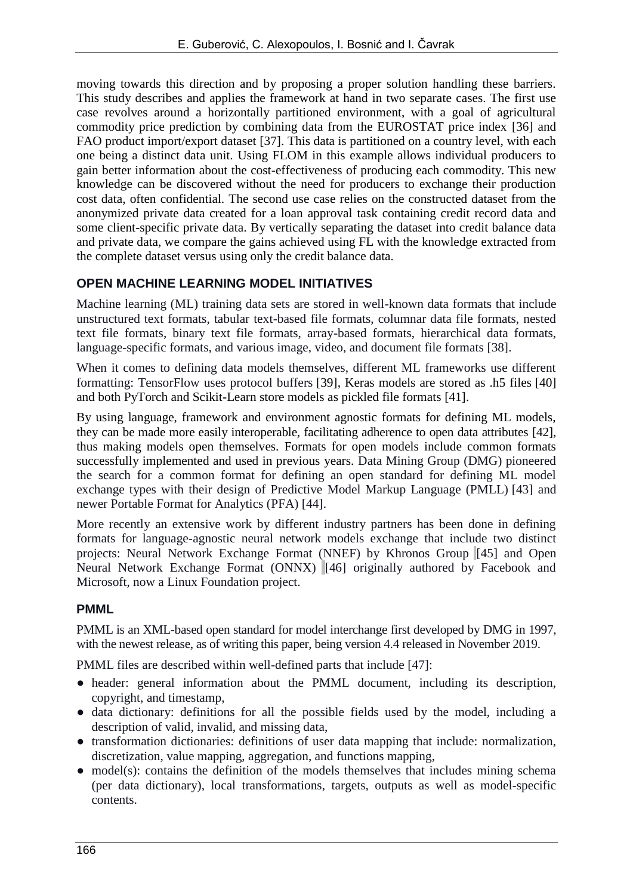moving towards this direction and by proposing a proper solution handling these barriers. This study describes and applies the framework at hand in two separate cases. The first use case revolves around a horizontally partitioned environment, with a goal of agricultural commodity price prediction by combining data from the EUROSTAT price index [36] and FAO product import/export dataset [37]. This data is partitioned on a country level, with each one being a distinct data unit. Using FLOM in this example allows individual producers to gain better information about the cost-effectiveness of producing each commodity. This new knowledge can be discovered without the need for producers to exchange their production cost data, often confidential. The second use case relies on the constructed dataset from the anonymized private data created for a loan approval task containing credit record data and some client-specific private data. By vertically separating the dataset into credit balance data and private data, we compare the gains achieved using FL with the knowledge extracted from the complete dataset versus using only the credit balance data.

#### **OPEN MACHINE LEARNING MODEL INITIATIVES**

Machine learning (ML) training data sets are stored in well-known data formats that include unstructured text formats, tabular text-based file formats, columnar data file formats, nested text file formats, binary text file formats, array-based formats, hierarchical data formats, language-specific formats, and various image, video, and document file formats [38].

When it comes to defining data models themselves, different ML frameworks use different formatting: TensorFlow uses protocol buffers [39], Keras models are stored as .h5 files [40] and both PyTorch and Scikit-Learn store models as pickled file formats [41].

By using language, framework and environment agnostic formats for defining ML models, they can be made more easily interoperable, facilitating adherence to open data attributes [42], thus making models open themselves. Formats for open models include common formats successfully implemented and used in previous years. Data Mining Group (DMG) pioneered the search for a common format for defining an open standard for defining ML model exchange types with their design of Predictive Model Markup Language (PMLL) [43] and newer Portable Format for Analytics (PFA) [44].

More recently an extensive work by different industry partners has been done in defining formats for language-agnostic neural network models exchange that include two distinct projects: Neural Network Exchange Format (NNEF) by Khronos Group [45] and Open Neural Network Exchange Format (ONNX) [46] originally authored by Facebook and Microsoft, now a Linux Foundation project.

#### **PMML**

PMML is an XML-based open standard for model interchange first developed by DMG in 1997, with the newest release, as of writing this paper, being version 4.4 released in November 2019.

PMML files are described within well-defined parts that include [47]:

- header: general information about the PMML document, including its description, copyright, and timestamp,
- data dictionary: definitions for all the possible fields used by the model, including a description of valid, invalid, and missing data,
- transformation dictionaries: definitions of user data mapping that include: normalization, discretization, value mapping, aggregation, and functions mapping,
- model(s): contains the definition of the models themselves that includes mining schema (per data dictionary), local transformations, targets, outputs as well as model-specific contents.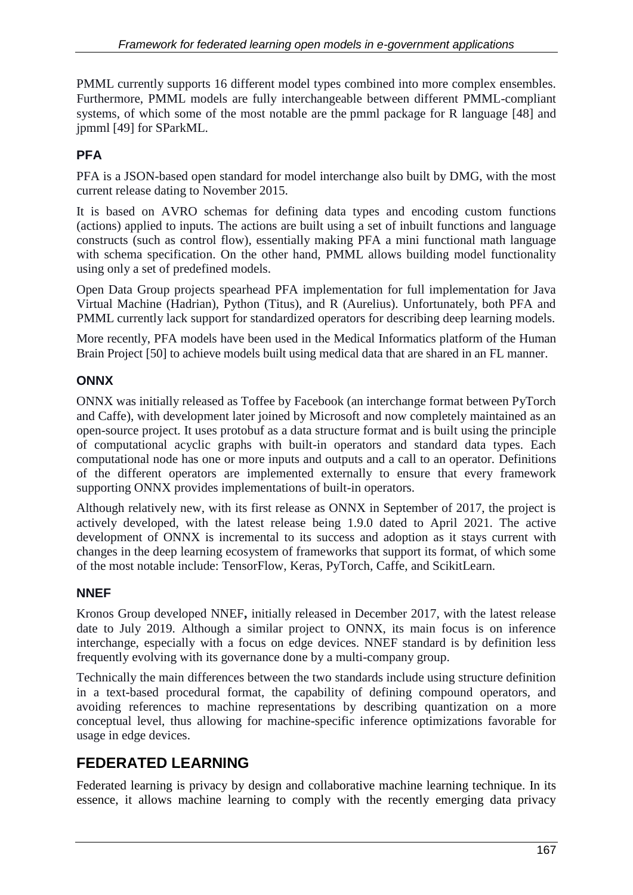PMML currently supports 16 different model types combined into more complex ensembles. Furthermore, PMML models are fully interchangeable between different PMML-compliant systems, of which some of the most notable are the pmml package for R language [48] and jpmml [49] for SParkML.

### **PFA**

PFA is a JSON-based open standard for model interchange also built by DMG, with the most current release dating to November 2015.

It is based on AVRO schemas for defining data types and encoding custom functions (actions) applied to inputs. The actions are built using a set of inbuilt functions and language constructs (such as control flow), essentially making PFA a mini functional math language with schema specification. On the other hand, PMML allows building model functionality using only a set of predefined models.

Open Data Group projects spearhead PFA implementation for full implementation for Java Virtual Machine (Hadrian), Python (Titus), and R (Aurelius). Unfortunately, both PFA and PMML currently lack support for standardized operators for describing deep learning models.

More recently, PFA models have been used in the Medical Informatics platform of the Human Brain Project [50] to achieve models built using medical data that are shared in an FL manner.

#### **ONNX**

ONNX was initially released as Toffee by Facebook (an interchange format between PyTorch and Caffe), with development later joined by Microsoft and now completely maintained as an open-source project. It uses protobuf as a data structure format and is built using the principle of computational acyclic graphs with built-in operators and standard data types. Each computational node has one or more inputs and outputs and a call to an operator. Definitions of the different operators are implemented externally to ensure that every framework supporting ONNX provides implementations of built-in operators.

Although relatively new, with its first release as ONNX in September of 2017, the project is actively developed, with the latest release being 1.9.0 dated to April 2021. The active development of ONNX is incremental to its success and adoption as it stays current with changes in the deep learning ecosystem of frameworks that support its format, of which some of the most notable include: TensorFlow, Keras, PyTorch, Caffe, and ScikitLearn.

#### **NNEF**

Kronos Group developed NNEF**,** initially released in December 2017, with the latest release date to July 2019. Although a similar project to ONNX, its main focus is on inference interchange, especially with a focus on edge devices. NNEF standard is by definition less frequently evolving with its governance done by a multi-company group.

Technically the main differences between the two standards include using structure definition in a text-based procedural format, the capability of defining compound operators, and avoiding references to machine representations by describing quantization on a more conceptual level, thus allowing for machine-specific inference optimizations favorable for usage in edge devices.

## **FEDERATED LEARNING**

Federated learning is privacy by design and collaborative machine learning technique. In its essence, it allows machine learning to comply with the recently emerging data privacy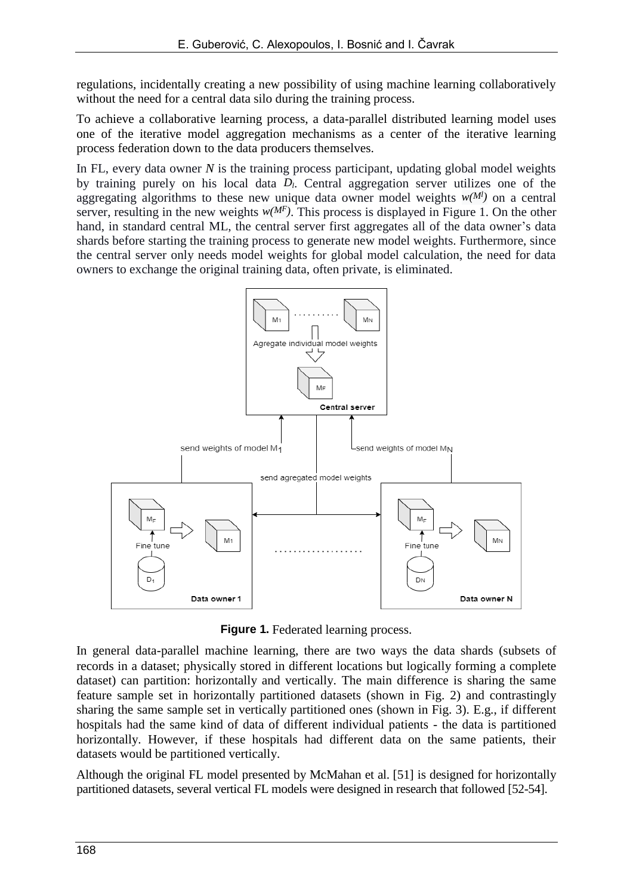regulations, incidentally creating a new possibility of using machine learning collaboratively without the need for a central data silo during the training process.

To achieve a collaborative learning process, a data-parallel distributed learning model uses one of the iterative model aggregation mechanisms as a center of the iterative learning process federation down to the data producers themselves.

In FL, every data owner *N* is the training process participant, updating global model weights by training purely on his local data *Dl*. Central aggregation server utilizes one of the aggregating algorithms to these new unique data owner model weights  $w(M<sup>l</sup>)$  on a central server, resulting in the new weights  $w(M<sup>F</sup>)$ . This process is displayed in Figure 1. On the other hand, in standard central ML, the central server first aggregates all of the data owner's data shards before starting the training process to generate new model weights. Furthermore, since the central server only needs model weights for global model calculation, the need for data owners to exchange the original training data, often private, is eliminated.



**Figure 1.** Federated learning process.

In general data-parallel machine learning, there are two ways the data shards (subsets of records in a dataset; physically stored in different locations but logically forming a complete dataset) can partition: horizontally and vertically. The main difference is sharing the same feature sample set in horizontally partitioned datasets (shown in Fig. 2) and contrastingly sharing the same sample set in vertically partitioned ones (shown in Fig. 3). E.g., if different hospitals had the same kind of data of different individual patients - the data is partitioned horizontally. However, if these hospitals had different data on the same patients, their datasets would be partitioned vertically.

Although the original FL model presented by McMahan et al. [51] is designed for horizontally partitioned datasets, several vertical FL models were designed in research that followed [52-54].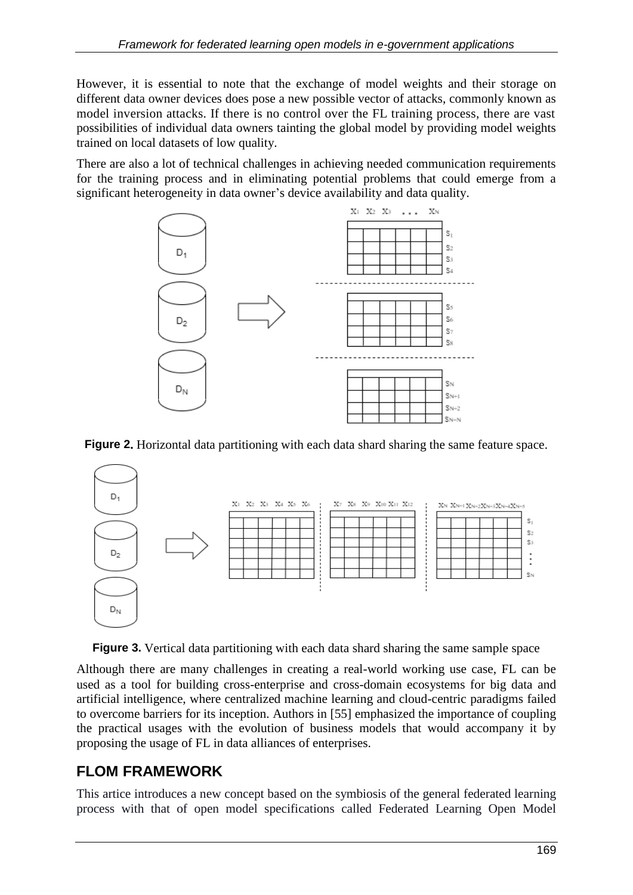However, it is essential to note that the exchange of model weights and their storage on different data owner devices does pose a new possible vector of attacks, commonly known as model inversion attacks. If there is no control over the FL training process, there are vast possibilities of individual data owners tainting the global model by providing model weights trained on local datasets of low quality.

There are also a lot of technical challenges in achieving needed communication requirements for the training process and in eliminating potential problems that could emerge from a significant heterogeneity in data owner's device availability and data quality.



**Figure 2.** Horizontal data partitioning with each data shard sharing the same feature space.



Figure 3. Vertical data partitioning with each data shard sharing the same sample space

Although there are many challenges in creating a real-world working use case, FL can be used as a tool for building cross-enterprise and cross-domain ecosystems for big data and artificial intelligence, where centralized machine learning and cloud-centric paradigms failed to overcome barriers for its inception. Authors in [55] emphasized the importance of coupling the practical usages with the evolution of business models that would accompany it by proposing the usage of FL in data alliances of enterprises.

## **FLOM FRAMEWORK**

This artice introduces a new concept based on the symbiosis of the general federated learning process with that of open model specifications called Federated Learning Open Model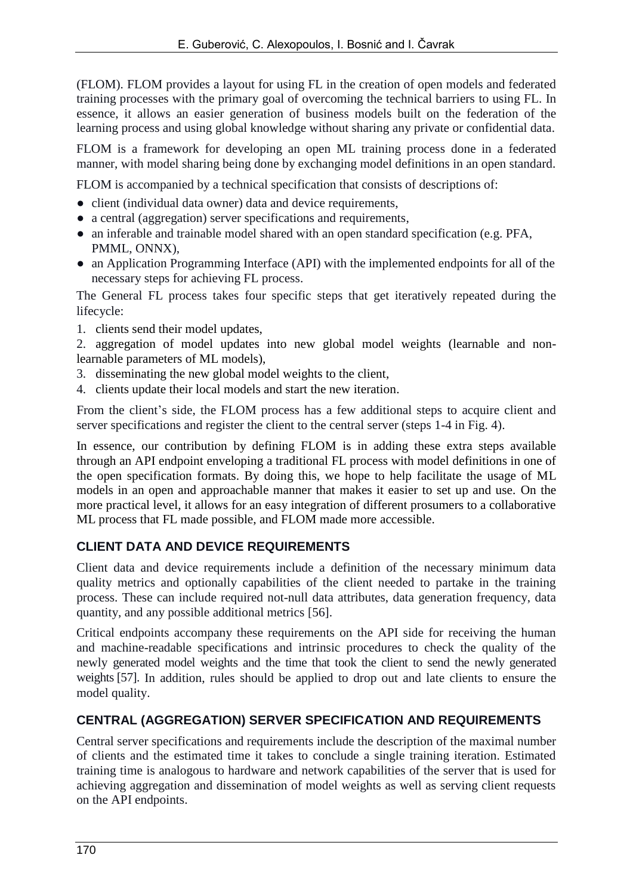(FLOM). FLOM provides a layout for using FL in the creation of open models and federated training processes with the primary goal of overcoming the technical barriers to using FL. In essence, it allows an easier generation of business models built on the federation of the learning process and using global knowledge without sharing any private or confidential data.

FLOM is a framework for developing an open ML training process done in a federated manner, with model sharing being done by exchanging model definitions in an open standard.

FLOM is accompanied by a technical specification that consists of descriptions of:

- client (individual data owner) data and device requirements,
- a central (aggregation) server specifications and requirements,
- an inferable and trainable model shared with an open standard specification (e.g. PFA, PMML, ONNX),
- an Application Programming Interface (API) with the implemented endpoints for all of the necessary steps for achieving FL process.

The General FL process takes four specific steps that get iteratively repeated during the lifecycle:

- 1. clients send their model updates,
- 2. aggregation of model updates into new global model weights (learnable and nonlearnable parameters of ML models),
- 3. disseminating the new global model weights to the client,
- 4. clients update their local models and start the new iteration.

From the client's side, the FLOM process has a few additional steps to acquire client and server specifications and register the client to the central server (steps 1-4 in Fig. 4).

In essence, our contribution by defining FLOM is in adding these extra steps available through an API endpoint enveloping a traditional FL process with model definitions in one of the open specification formats. By doing this, we hope to help facilitate the usage of ML models in an open and approachable manner that makes it easier to set up and use. On the more practical level, it allows for an easy integration of different prosumers to a collaborative ML process that FL made possible, and FLOM made more accessible.

### **CLIENT DATA AND DEVICE REQUIREMENTS**

Client data and device requirements include a definition of the necessary minimum data quality metrics and optionally capabilities of the client needed to partake in the training process. These can include required not-null data attributes, data generation frequency, data quantity, and any possible additional metrics [56].

Critical endpoints accompany these requirements on the API side for receiving the human and machine-readable specifications and intrinsic procedures to check the quality of the newly generated model weights and the time that took the client to send the newly generated weights [57]. In addition, rules should be applied to drop out and late clients to ensure the model quality.

### **CENTRAL (AGGREGATION) SERVER SPECIFICATION AND REQUIREMENTS**

Central server specifications and requirements include the description of the maximal number of clients and the estimated time it takes to conclude a single training iteration. Estimated training time is analogous to hardware and network capabilities of the server that is used for achieving aggregation and dissemination of model weights as well as serving client requests on the API endpoints.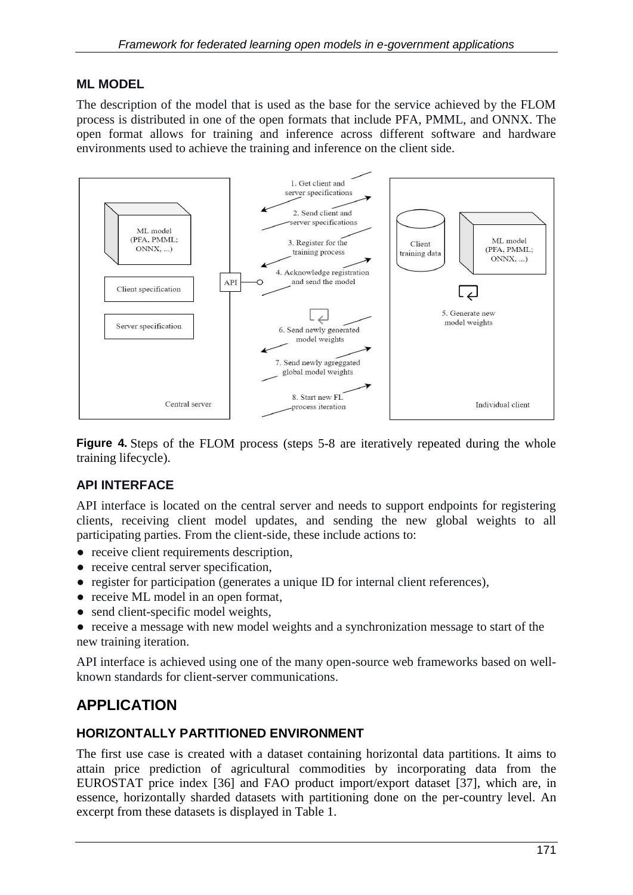#### **ML MODEL**

The description of the model that is used as the base for the service achieved by the FLOM process is distributed in one of the open formats that include PFA, PMML, and ONNX. The open format allows for training and inference across different software and hardware environments used to achieve the training and inference on the client side.



**Figure 4.** Steps of the FLOM process (steps 5-8 are iteratively repeated during the whole training lifecycle).

### **API INTERFACE**

API interface is located on the central server and needs to support endpoints for registering clients, receiving client model updates, and sending the new global weights to all participating parties. From the client-side, these include actions to:

- receive client requirements description,
- receive central server specification,
- register for participation (generates a unique ID for internal client references),
- receive ML model in an open format,
- send client-specific model weights,

● receive a message with new model weights and a synchronization message to start of the new training iteration.

API interface is achieved using one of the many open-source web frameworks based on wellknown standards for client-server communications.

## **APPLICATION**

#### **HORIZONTALLY PARTITIONED ENVIRONMENT**

The first use case is created with a dataset containing horizontal data partitions. It aims to attain price prediction of agricultural commodities by incorporating data from the EUROSTAT price index [36] and FAO product import/export dataset [37], which are, in essence, horizontally sharded datasets with partitioning done on the per-country level. An excerpt from these datasets is displayed in Table 1.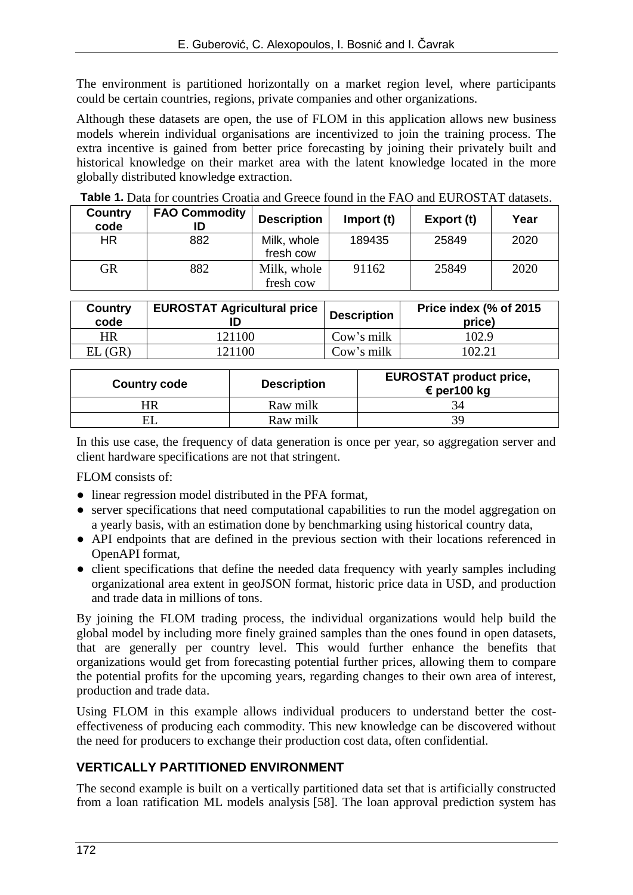The environment is partitioned horizontally on a market region level, where participants could be certain countries, regions, private companies and other organizations.

Although these datasets are open, the use of FLOM in this application allows new business models wherein individual organisations are incentivized to join the training process. The extra incentive is gained from better price forecasting by joining their privately built and historical knowledge on their market area with the latent knowledge located in the more globally distributed knowledge extraction.

| Country<br>code | <b>FAO Commodity</b> | <b>Description</b>       | Import (t) | Export (t) | Year |
|-----------------|----------------------|--------------------------|------------|------------|------|
| HR.             | 882                  | Milk, whole<br>fresh cow | 189435     | 25849      | 2020 |
| GR              | 882                  | Milk, whole<br>fresh cow | 91162      | 25849      | 2020 |

**Table 1.** Data for countries Croatia and Greece found in the FAO and EUROSTAT datasets.

| <b>Country</b><br>code | <b>EUROSTAT Agricultural price</b> | <b>Description</b> | Price index (% of 2015<br>price) |  |
|------------------------|------------------------------------|--------------------|----------------------------------|--|
| HR                     | 121100                             | Cow's milk         | 102.9                            |  |
| EL(GR)                 | 121100                             | Cow's milk         | 102.21                           |  |

| <b>Country code</b> | <b>Description</b> | <b>EUROSTAT product price,</b><br>€ per100 kg |  |  |
|---------------------|--------------------|-----------------------------------------------|--|--|
|                     | Raw milk           |                                               |  |  |
|                     | Raw milk           |                                               |  |  |

In this use case, the frequency of data generation is once per year, so aggregation server and client hardware specifications are not that stringent.

FLOM consists of:

- linear regression model distributed in the PFA format,
- server specifications that need computational capabilities to run the model aggregation on a yearly basis, with an estimation done by benchmarking using historical country data,
- API endpoints that are defined in the previous section with their locations referenced in OpenAPI format,
- client specifications that define the needed data frequency with yearly samples including organizational area extent in geoJSON format, historic price data in USD, and production and trade data in millions of tons.

By joining the FLOM trading process, the individual organizations would help build the global model by including more finely grained samples than the ones found in open datasets, that are generally per country level. This would further enhance the benefits that organizations would get from forecasting potential further prices, allowing them to compare the potential profits for the upcoming years, regarding changes to their own area of interest, production and trade data.

Using FLOM in this example allows individual producers to understand better the costeffectiveness of producing each commodity. This new knowledge can be discovered without the need for producers to exchange their production cost data, often confidential.

#### **VERTICALLY PARTITIONED ENVIRONMENT**

The second example is built on a vertically partitioned data set that is artificially constructed from a loan ratification ML models analysis [58]. The loan approval prediction system has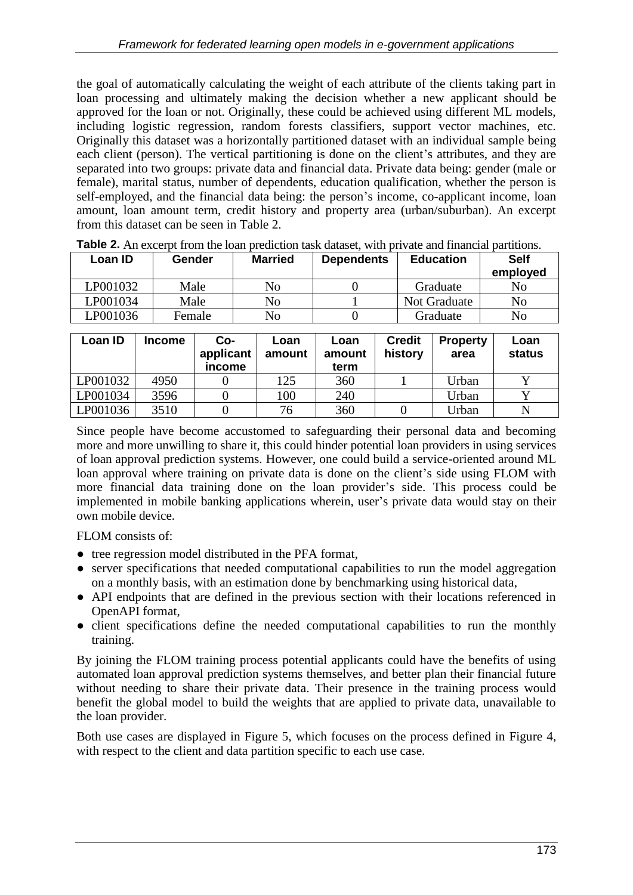the goal of automatically calculating the weight of each attribute of the clients taking part in loan processing and ultimately making the decision whether a new applicant should be approved for the loan or not. Originally, these could be achieved using different ML models, including logistic regression, random forests classifiers, support vector machines, etc. Originally this dataset was a horizontally partitioned dataset with an individual sample being each client (person). The vertical partitioning is done on the client's attributes, and they are separated into two groups: private data and financial data. Private data being: gender (male or female), marital status, number of dependents, education qualification, whether the person is self-employed, and the financial data being: the person's income, co-applicant income, loan amount, loan amount term, credit history and property area (urban/suburban). An excerpt from this dataset can be seen in Table 2.

| Loan ID  | Gender | <b>Married</b> | <b>Dependents</b> | <b>Education</b> | <b>Self</b><br>employed |  |
|----------|--------|----------------|-------------------|------------------|-------------------------|--|
| P001032  | Male   | No             |                   | Graduate         | No                      |  |
| LP001034 | Male   | No             |                   | Not Graduate     | No                      |  |
| LP001036 | Female | No             |                   | Graduate         | N <sub>o</sub>          |  |

**Table 2.** An excerpt from the loan prediction task dataset, with private and financial partitions.

| Loan ID  | Income | Co-<br>applicant<br>income | Loan<br>amount | Loan<br>amount<br>term | <b>Credit</b><br>history | <b>Property</b><br>area | Loan<br>status |
|----------|--------|----------------------------|----------------|------------------------|--------------------------|-------------------------|----------------|
| LP001032 | 4950   |                            | 125            | 360                    |                          | Urban                   |                |
| LP001034 | 3596   |                            | 100            | 240                    |                          | Urban                   |                |
| LP001036 | 3510   |                            | 76             | 360                    |                          | Urban                   |                |

Since people have become accustomed to safeguarding their personal data and becoming more and more unwilling to share it, this could hinder potential loan providers in using services of loan approval prediction systems. However, one could build a service-oriented around ML loan approval where training on private data is done on the client's side using FLOM with more financial data training done on the loan provider's side. This process could be implemented in mobile banking applications wherein, user's private data would stay on their own mobile device.

FLOM consists of:

- tree regression model distributed in the PFA format,
- server specifications that needed computational capabilities to run the model aggregation on a monthly basis, with an estimation done by benchmarking using historical data,
- API endpoints that are defined in the previous section with their locations referenced in OpenAPI format,
- client specifications define the needed computational capabilities to run the monthly training.

By joining the FLOM training process potential applicants could have the benefits of using automated loan approval prediction systems themselves, and better plan their financial future without needing to share their private data. Their presence in the training process would benefit the global model to build the weights that are applied to private data, unavailable to the loan provider.

Both use cases are displayed in Figure 5, which focuses on the process defined in Figure 4, with respect to the client and data partition specific to each use case.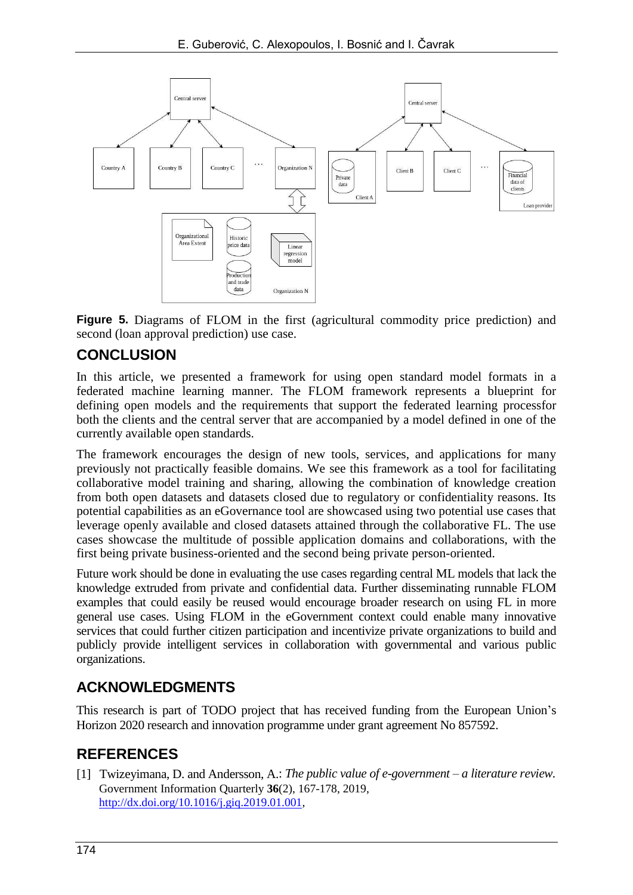

**Figure 5.** Diagrams of FLOM in the first (agricultural commodity price prediction) and second (loan approval prediction) use case.

## **CONCLUSION**

In this article, we presented a framework for using open standard model formats in a federated machine learning manner. The FLOM framework represents a blueprint for defining open models and the requirements that support the federated learning processfor both the clients and the central server that are accompanied by a model defined in one of the currently available open standards.

The framework encourages the design of new tools, services, and applications for many previously not practically feasible domains. We see this framework as a tool for facilitating collaborative model training and sharing, allowing the combination of knowledge creation from both open datasets and datasets closed due to regulatory or confidentiality reasons. Its potential capabilities as an eGovernance tool are showcased using two potential use cases that leverage openly available and closed datasets attained through the collaborative FL. The use cases showcase the multitude of possible application domains and collaborations, with the first being private business-oriented and the second being private person-oriented.

Future work should be done in evaluating the use cases regarding central ML models that lack the knowledge extruded from private and confidential data. Further disseminating runnable FLOM examples that could easily be reused would encourage broader research on using FL in more general use cases. Using FLOM in the eGovernment context could enable many innovative services that could further citizen participation and incentivize private organizations to build and publicly provide intelligent services in collaboration with governmental and various public organizations.

## **ACKNOWLEDGMENTS**

This research is part of TODO project that has received funding from the European Union's Horizon 2020 research and innovation programme under grant agreement No 857592.

## **REFERENCES**

[1] Twizeyimana, D. and Andersson, A.: *The public value of e-government – a literature review.* Government Information Quarterly **36**(2), 167-178, 2019, [http://dx.doi.org/10.1016/j.giq.2019.01.001,](http://dx.doi.org/10.1016/j.giq.2019.01.001)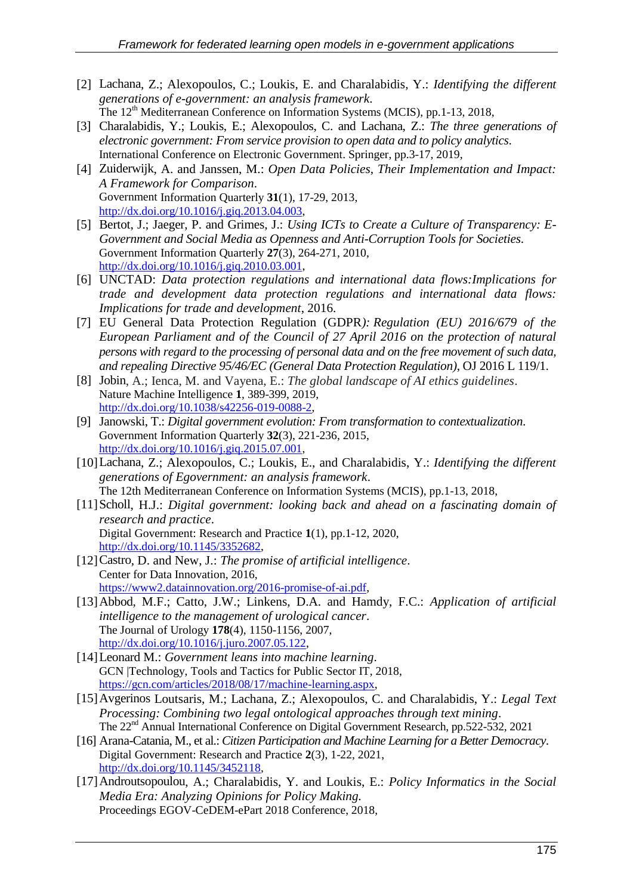- [2] Lachana, Z.; Alexopoulos, C.; Loukis, E. and Charalabidis, Y.: *Identifying the different generations of e-government: an analysis framework*. The 12<sup>th</sup> Mediterranean Conference on Information Systems (MCIS), pp.1-13, 2018,
- [3] Charalabidis, Y.; Loukis, E.; Alexopoulos, C. and Lachana, Z.: *The three generations of electronic government: From service provision to open data and to policy analytics*. International Conference on Electronic Government. Springer, pp.3-17, 2019,
- [4] Zuiderwijk, A. and Janssen, M.: *Open Data Policies, Their Implementation and Impact: A Framework for Comparison*. Government Information Quarterly **31**(1), 17-29, 2013, [http://dx.doi.org/10.1016/j.giq.2013.04.003,](http://dx.doi.org/10.1016/j.giq.2013.04.003)
- [5] Bertot, J.; Jaeger, P. and Grimes, J.: *Using ICTs to Create a Culture of Transparency: E-Government and Social Media as Openness and Anti-Corruption Tools for Societies*. Government Information Quarterly **27**(3), 264-271, 2010, [http://dx.doi.org/10.1016/j.giq.2010.03.001,](http://dx.doi.org/10.1016/j.giq.2010.03.001)
- [6] UNCTAD: *Data protection regulations and international data flows:Implications for trade and development data protection regulations and international data flows: Implications for trade and development*, 2016.
- [7] EU General Data Protection Regulation (GDPR*): Regulation (EU) 2016/679 of the European Parliament and of the Council of 27 April 2016 on the protection of natural persons with regard to the processing of personal data and on the free movement of such data, and repealing Directive 95/46/EC (General Data Protection Regulation)*, OJ 2016 L 119/1.
- [8] Jobin, A.; Ienca, M. and Vayena, E.: *The global landscape of AI ethics guidelines*. Nature Machine Intelligence **1**, 389-399, 2019, [http://dx.doi.org/10.1038/s42256-019-0088-2,](http://dx.doi.org/10.1038/s42256-019-0088-2)
- [9] Janowski, T.: *Digital government evolution: From transformation to contextualization*. Government Information Quarterly **32**(3), 221-236, 2015, [http://dx.doi.org/10.1016/j.giq.2015.07.001,](http://dx.doi.org/10.1016/j.giq.2015.07.001)
- [10]Lachana, Z.; Alexopoulos, C.; Loukis, E., and Charalabidis, Y.: *Identifying the different generations of Egovernment: an analysis framework*. The 12th Mediterranean Conference on Information Systems (MCIS), pp.1-13, 2018,
- [11]Scholl, H.J.: *Digital government: looking back and ahead on a fascinating domain of research and practice*. Digital Government: Research and Practice **1**(1), pp.1-12, 2020,
- [http://dx.doi.org/10.1145/3352682,](http://dx.doi.org/10.1145/3352682) [12]Castro, D. and New, J.: *The promise of artificial intelligence*. Center for Data Innovation, 2016, [https://www2.datainnovation.org/2016-promise-of-ai.pdf,](https://www2.datainnovation.org/2016-promise-of-ai.pdf)
- [13]Abbod, M.F.; Catto, J.W.; Linkens, D.A. and Hamdy, F.C.: *Application of artificial intelligence to the management of urological cancer*. The Journal of Urology **178**(4), 1150-1156, 2007, [http://dx.doi.org/10.1016/j.juro.2007.05.122,](http://dx.doi.org/10.1016/j.juro.2007.05.122)
- [14]Leonard M.: *Government leans into machine learning*. GCN |Technology, Tools and Tactics for Public Sector IT, 2018, [https://gcn.com/articles/2018/08/17/machine-learning.aspx,](https://gcn.com/articles/2018/08/17/machine-learning.aspx)
- [15]Avgerinos Loutsaris, M.; Lachana, Z.; Alexopoulos, C. and Charalabidis, Y.: *Legal Text Processing: Combining two legal ontological approaches through text mining*. The 22<sup>nd</sup> Annual International Conference on Digital Government Research, pp.522-532, 2021
- [16] Arana-Catania, M., et al.: *Citizen Participation and Machine Learning for a Better Democracy*. Digital Government: Research and Practice **2**(3), 1-22, 2021, [http://dx.doi.org/10.1145/3452118,](http://dx.doi.org/10.1145/3452118)
- [17]Androutsopoulou, A.; Charalabidis, Y. and Loukis, E.: *Policy Informatics in the Social Media Era: Analyzing Opinions for Policy Making.* Proceedings EGOV-CeDEM-ePart 2018 Conference, 2018,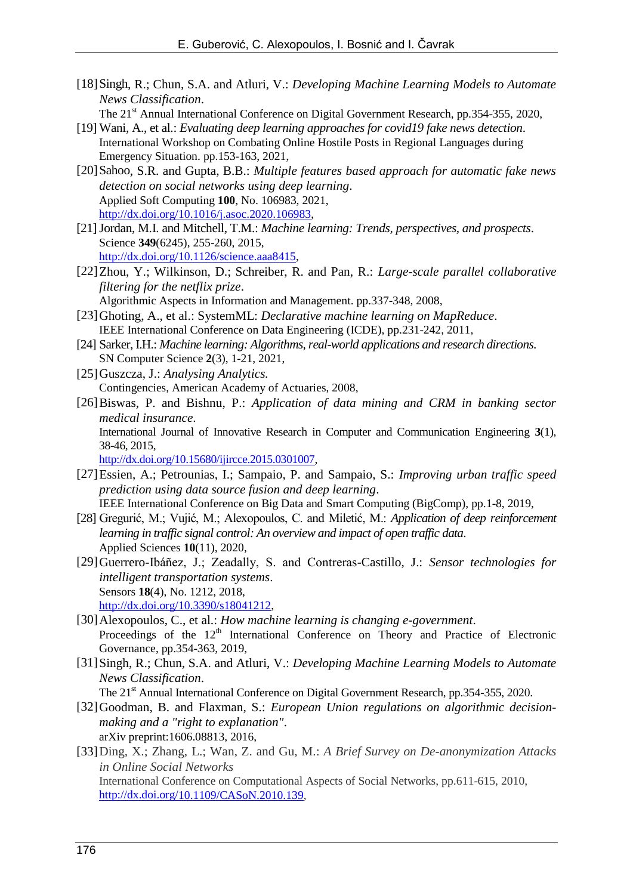- [18]Singh, R.; Chun, S.A. and Atluri, V.: *Developing Machine Learning Models to Automate News Classification*.
	- The 21<sup>st</sup> Annual International Conference on Digital Government Research, pp.354-355, 2020,
- [19] Wani, A., et al.: *Evaluating deep learning approaches for covid19 fake news detection*. International Workshop on Combating Online Hostile Posts in Regional Languages during Emergency Situation. pp.153-163, 2021,
- [20]Sahoo, S.R. and Gupta, B.B.: *Multiple features based approach for automatic fake news detection on social networks using deep learning*. Applied Soft Computing **100**, No. 106983, 2021, [http://dx.doi.org/10.1016/j.asoc.2020.106983,](http://dx.doi.org/10.1016/j.asoc.2020.106983)
- [21]Jordan, M.I. and Mitchell, T.M.: *Machine learning: Trends, perspectives, and prospects*. Science **349**(6245), 255-260, 2015, [http://dx.doi.org/10.1126/science.aaa8415,](http://dx.doi.org/10.1126/science.aaa8415)
- [22]Zhou, Y.; Wilkinson, D.; Schreiber, R. and Pan, R.: *Large-scale parallel collaborative filtering for the netflix prize*. Algorithmic Aspects in Information and Management. pp.337-348, 2008,
- [23]Ghoting, A., et al.: SystemML: *Declarative machine learning on MapReduce*. IEEE International Conference on Data Engineering (ICDE), pp.231-242, 2011,
- [24] Sarker, I.H.: *Machine learning: Algorithms, real-world applications and research directions*. SN Computer Science **2**(3), 1-21, 2021,
- [25]Guszcza, J.: *Analysing Analytics.* Contingencies, American Academy of Actuaries, 2008,
- [26]Biswas, P. and Bishnu, P.: *Application of data mining and CRM in banking sector medical insurance*.

International Journal of Innovative Research in Computer and Communication Engineering **3**(1), 38-46, 2015,

[http://dx.doi.org/10.15680/ijircce.2015.0301007,](http://dx.doi.org/10.15680/ijircce.2015.0301007)

- [27]Essien, A.; Petrounias, I.; Sampaio, P. and Sampaio, S.: *Improving urban traffic speed prediction using data source fusion and deep learning*. IEEE International Conference on Big Data and Smart Computing (BigComp), pp.1-8, 2019,
- [28] Gregurić, M.; Vujić, M.; Alexopoulos, C. and Miletić, M.: *Application of deep reinforcement learning in traffic signal control: An overview and impact of open traffic data*. Applied Sciences **10**(11), 2020,
- [29]Guerrero-Ibáñez, J.; Zeadally, S. and Contreras-Castillo, J.: *Sensor technologies for intelligent transportation systems*. Sensors **18**(4), No. 1212, 2018, [http://dx.doi.org/10.3390/s18041212,](http://dx.doi.org/10.3390/s18041212)
- [30]Alexopoulos, C., et al.: *How machine learning is changing e-government*. Proceedings of the 12<sup>th</sup> International Conference on Theory and Practice of Electronic Governance, pp.354-363, 2019,
- [31]Singh, R.; Chun, S.A. and Atluri, V.: *Developing Machine Learning Models to Automate News Classification*.

The 21<sup>st</sup> Annual International Conference on Digital Government Research, pp.354-355, 2020.

- [32]Goodman, B. and Flaxman, S.: *European Union regulations on algorithmic decisionmaking and a "right to explanation"*. arXiv preprint:1606.08813, 2016,
- [33]Ding, X.; Zhang, L.; Wan, Z. and Gu, M.: *A Brief Survey on De-anonymization Attacks in Online Social Networks* International Conference on Computational Aspects of Social Networks, pp.611-615, 2010, [http://dx.doi.org/10.1109/CASoN.2010.139,](http://dx.doi.org/10.1109/CASoN.2010.139)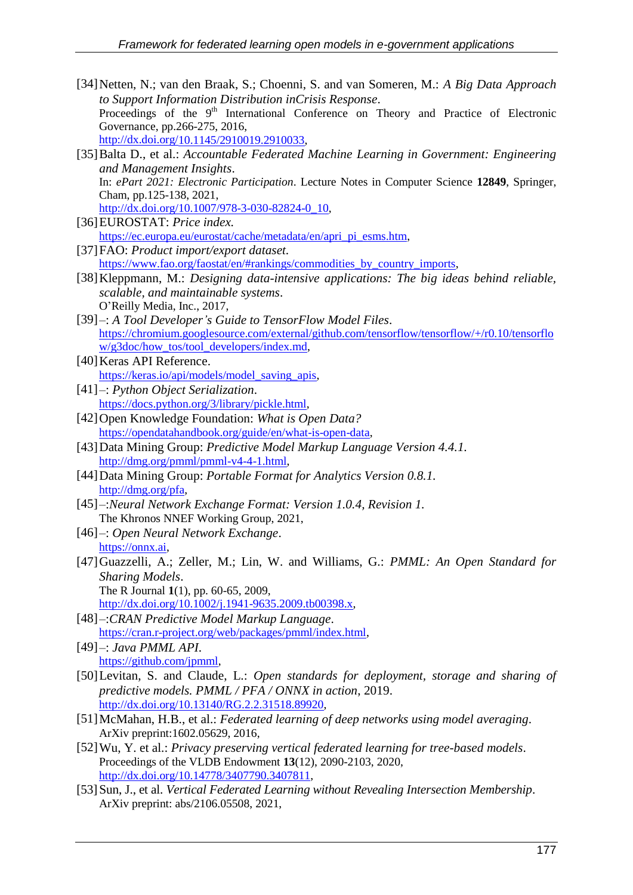- [34]Netten, N.; van den Braak, S.; Choenni, S. and van Someren, M.: *A Big Data Approach to Support Information Distribution inCrisis Response*. Proceedings of the 9<sup>th</sup> International Conference on Theory and Practice of Electronic Governance, pp.266-275, 2016, [http://dx.doi.org/10.1145/2910019.2910033,](http://dx.doi.org/10.1145/2910019.2910033)
- [35]Balta D., et al.: *Accountable Federated Machine Learning in Government: Engineering and Management Insights*. In: *ePart 2021: Electronic Participation*. Lecture Notes in Computer Science **12849**, Springer, Cham, pp.125-138, 2021, [http://dx.doi.org/10.1007/978-3-030-82824-0\\_10,](http://dx.doi.org/10.1007/978-3-030-82824-0_10)
- [36]EUROSTAT: *Price index.* [https://ec.europa.eu/eurostat/cache/metadata/en/apri\\_pi\\_esms.htm,](https://ec.europa.eu/eurostat/cache/metadata/en/apri_pi_esms.htm)
- [37]FAO: *Product import/export dataset.* [https://www.fao.org/faostat/en/#rankings/commodities\\_by\\_country\\_imports,](https://www.fao.org/faostat/en/#rankings/commodities_by_country_imports)
- [38]Kleppmann, M.: *Designing data-intensive applications: The big ideas behind reliable, scalable, and maintainable systems*. O'Reilly Media, Inc., 2017,
- [39]–: *A Tool Developer's Guide to TensorFlow Model Files*. [https://chromium.googlesource.com/external/github.com/tensorflow/tensorflow/+/r0.10/tensorflo](https://chromium.googlesource.com/external/github.com/tensorflow/tensorflow/+/r0.10/tensorflow/g3doc/how_tos/tool_developers/index.md) [w/g3doc/how\\_tos/tool\\_developers/index.md,](https://chromium.googlesource.com/external/github.com/tensorflow/tensorflow/+/r0.10/tensorflow/g3doc/how_tos/tool_developers/index.md)
- [40] Keras API Reference. [https://keras.io/api/models/model\\_saving\\_apis,](https://keras.io/api/models/model_saving_apis)
- [41]–: *Python Object Serialization*. [https://docs.python.org/3/library/pickle.html,](https://docs.python.org/3/library/pickle.html)
- [42]Open Knowledge Foundation: *What is Open Data?* [https://opendatahandbook.org/guide/en/what-is-open-data,](https://opendatahandbook.org/guide/en/what-is-open-data)
- [43]Data Mining Group: *Predictive Model Markup Language Version 4.4.1.* [http://dmg.org/pmml/pmml-v4-4-1.html,](http://dmg.org/pmml/pmml-v4-4-1.html)
- [44]Data Mining Group: *Portable Format for Analytics Version 0.8.1.* [http://dmg.org/pfa,](http://dmg.org/pfa)
- [45]–:*Neural Network Exchange Format: Version 1.0.4, Revision 1.* The Khronos NNEF Working Group, 2021,
- [46]–: *Open Neural Network Exchange*. [https://onnx.ai,](https://onnx.ai/)
- [47]Guazzelli, A.; Zeller, M.; Lin, W. and Williams, G.: *PMML: An Open Standard for Sharing Models*. The R Journal **1**(1), pp. 60-65, 2009,
	- [http://dx.doi.org/10.1002/j.1941-9635.2009.tb00398.x,](http://dx.doi.org/10.1002/j.1941-9635.2009.tb00398.x)
- [48]–:*CRAN Predictive Model Markup Language*. [https://cran.r-project.org/web/packages/pmml/index.html,](https://cran.r-project.org/web/packages/pmml/index.html)
- [49]–: *Java PMML API*. [https://github.com/jpmml,](https://github.com/jpmml)
- [50]Levitan, S. and Claude, L.: *Open standards for deployment, storage and sharing of predictive models. PMML / PFA / ONNX in action*, 2019. [http://dx.doi.org/10.13140/RG.2.2.31518.89920,](http://dx.doi.org/10.13140/RG.2.2.31518.89920)
- [51]McMahan, H.B., et al.: *Federated learning of deep networks using model averaging*. ArXiv preprint:1602.05629, 2016,
- [52]Wu, Y. et al.: *Privacy preserving vertical federated learning for tree-based models*. Proceedings of the VLDB Endowment **13**(12), 2090-2103, 2020, [http://dx.doi.org/10.14778/3407790.3407811,](http://dx.doi.org/10.14778/3407790.3407811)
- [53]Sun, J., et al. *Vertical Federated Learning without Revealing Intersection Membership*. ArXiv preprint: abs/2106.05508, 2021,